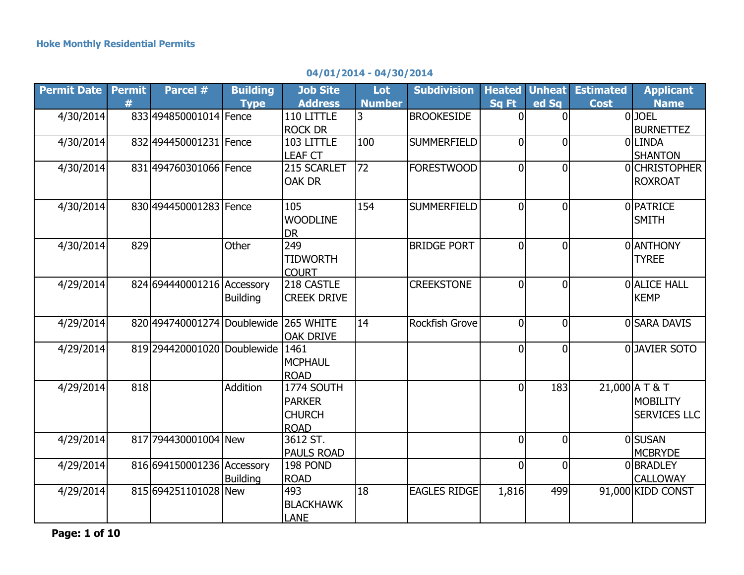## **04/01/2014 - 04/30/2014**

| <b>Permit Date</b> | <b>Permit</b> | Parcel #                    | <b>Building</b> | <b>Job Site</b>    | Lot           | <b>Subdivision</b>  |                |                | <b>Heated Unheat Estimated</b> | <b>Applicant</b>    |
|--------------------|---------------|-----------------------------|-----------------|--------------------|---------------|---------------------|----------------|----------------|--------------------------------|---------------------|
|                    | #             |                             | <b>Type</b>     | <b>Address</b>     | <b>Number</b> |                     | Sq Ft          | ed Sq          | <b>Cost</b>                    | <b>Name</b>         |
| 4/30/2014          |               | 833 4948 50001014 Fence     |                 | 110 LITTLE         | 3             | <b>BROOKESIDE</b>   | $\Omega$       | $\Omega$       |                                | 0JOEL               |
|                    |               |                             |                 | <b>ROCK DR</b>     |               |                     |                |                |                                | <b>BURNETTEZ</b>    |
| 4/30/2014          |               | 832 494450001231 Fence      |                 | 103 LITTLE         | 100           | <b>SUMMERFIELD</b>  | $\overline{0}$ | $\overline{0}$ |                                | OLLINDA             |
|                    |               |                             |                 | <b>LEAF CT</b>     |               |                     |                |                |                                | <b>SHANTON</b>      |
| 4/30/2014          |               | 831 494760301066 Fence      |                 | 215 SCARLET        | 72            | <b>FORESTWOOD</b>   | $\overline{0}$ | $\overline{0}$ |                                | 0CHRISTOPHER        |
|                    |               |                             |                 | OAK DR             |               |                     |                |                |                                | <b>ROXROAT</b>      |
|                    |               |                             |                 |                    |               |                     |                |                |                                |                     |
| 4/30/2014          |               | 830 494450001283 Fence      |                 | 105                | 154           | <b>SUMMERFIELD</b>  | $\Omega$       | $\Omega$       |                                | <b>OPATRICE</b>     |
|                    |               |                             |                 | <b>WOODLINE</b>    |               |                     |                |                |                                | <b>SMITH</b>        |
|                    |               |                             |                 | <b>DR</b>          |               |                     |                |                |                                |                     |
| 4/30/2014          | 829           |                             | Other           | 249                |               | <b>BRIDGE PORT</b>  | $\overline{0}$ | 0l             |                                | <b>OLANTHONY</b>    |
|                    |               |                             |                 | <b>TIDWORTH</b>    |               |                     |                |                |                                | <b>TYREE</b>        |
|                    |               |                             |                 | <b>COURT</b>       |               |                     |                |                |                                |                     |
| 4/29/2014          |               | 824 694440001216 Accessory  |                 | 218 CASTLE         |               | <b>CREEKSTONE</b>   | $\overline{0}$ | $\overline{0}$ |                                | <b>O</b> ALICE HALL |
|                    |               |                             | <b>Building</b> | <b>CREEK DRIVE</b> |               |                     |                |                |                                | <b>KEMP</b>         |
|                    |               |                             |                 |                    |               |                     |                |                |                                |                     |
| 4/29/2014          |               | 820 494740001274 Doublewide |                 | 265 WHITE          | 14            | Rockfish Grove      | $\overline{0}$ | $\overline{0}$ |                                | 0 SARA DAVIS        |
|                    |               |                             |                 | <b>OAK DRIVE</b>   |               |                     |                |                |                                |                     |
| 4/29/2014          |               | 819 294420001020 Doublewide |                 | 1461               |               |                     | $\Omega$       | $\overline{0}$ |                                | 0JAVIER SOTO        |
|                    |               |                             |                 | <b>MCPHAUL</b>     |               |                     |                |                |                                |                     |
|                    |               |                             |                 | <b>ROAD</b>        |               |                     |                |                |                                |                     |
| 4/29/2014          | 818           |                             | Addition        | 1774 SOUTH         |               |                     | $\overline{0}$ | 183            |                                | 21,000 A T & T      |
|                    |               |                             |                 | <b>PARKER</b>      |               |                     |                |                |                                | <b>MOBILITY</b>     |
|                    |               |                             |                 | <b>CHURCH</b>      |               |                     |                |                |                                | <b>SERVICES LLC</b> |
|                    |               |                             |                 | <b>ROAD</b>        |               |                     |                |                |                                |                     |
| 4/29/2014          |               | 817 794430001004 New        |                 | 3612 ST.           |               |                     | $\overline{0}$ | $\overline{0}$ |                                | <b>O</b> SUSAN      |
|                    |               |                             |                 | <b>PAULS ROAD</b>  |               |                     |                |                |                                | <b>MCBRYDE</b>      |
| 4/29/2014          |               | 816 694150001236 Accessory  |                 | 198 POND           |               |                     | $\overline{0}$ | $\overline{0}$ |                                | 0BRADLEY            |
|                    |               |                             | <b>Building</b> | <b>ROAD</b>        |               |                     |                |                |                                | <b>CALLOWAY</b>     |
| 4/29/2014          |               | 815 694251101028 New        |                 | 493                | 18            | <b>EAGLES RIDGE</b> | 1,816          | 499            |                                | 91,000 KIDD CONST   |
|                    |               |                             |                 | <b>BLACKHAWK</b>   |               |                     |                |                |                                |                     |
|                    |               |                             |                 | <b>LANE</b>        |               |                     |                |                |                                |                     |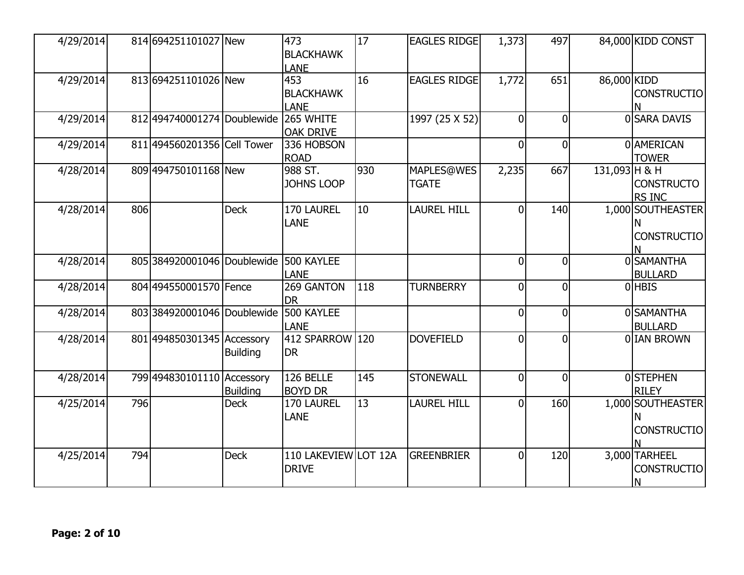| 4/29/2014 |     | 814 694251101027 New          |                 | 473<br><b>BLACKHAWK</b><br><b>LANE</b> | 17  | <b>EAGLES RIDGE</b>        | 1,373          | 497            |               | 84,000 KIDD CONST                        |
|-----------|-----|-------------------------------|-----------------|----------------------------------------|-----|----------------------------|----------------|----------------|---------------|------------------------------------------|
| 4/29/2014 |     | 813 694251101026 New          |                 | 453<br><b>BLACKHAWK</b><br>LANE        | 16  | <b>EAGLES RIDGE</b>        | 1,772          | 651            | 86,000 KIDD   | <b>CONSTRUCTIO</b>                       |
| 4/29/2014 |     | 812 494740001274 Doublewide   |                 | 265 WHITE<br><b>OAK DRIVE</b>          |     | 1997 (25 X 52)             | $\Omega$       | $\overline{0}$ |               | 0 SARA DAVIS                             |
| 4/29/2014 |     | 811 4945 60201356 Cell Tower  |                 | 336 HOBSON<br><b>ROAD</b>              |     |                            | $\overline{0}$ | 0              |               | <b>O</b> AMERICAN<br><b>TOWER</b>        |
| 4/28/2014 |     | 809 494750101168 New          |                 | 988 ST.<br><b>JOHNS LOOP</b>           | 930 | MAPLES@WES<br><b>TGATE</b> | 2,235          | 667            | 131,093 H & H | <b>CONSTRUCTO</b><br>RS INC              |
| 4/28/2014 | 806 |                               | <b>Deck</b>     | 170 LAUREL<br>LANE                     | 10  | LAUREL HILL                | $\Omega$       | 140            |               | 1,000 SOUTHEASTER<br><b>CONSTRUCTIO</b>  |
| 4/28/2014 |     | 805 3849 2000 1046 Doublewide |                 | 500 KAYLEE<br><b>LANE</b>              |     |                            | $\overline{0}$ | $\overline{0}$ |               | <b>OSAMANTHA</b><br><b>BULLARD</b>       |
| 4/28/2014 |     | 804 494550001570 Fence        |                 | 269 GANTON<br><b>DR</b>                | 118 | <b>TURNBERRY</b>           | $\Omega$       | $\overline{0}$ |               | <b>OHBIS</b>                             |
| 4/28/2014 |     | 803 384920001046 Doublewide   |                 | 500 KAYLEE<br><b>LANE</b>              |     |                            | $\overline{0}$ | $\overline{0}$ |               | 0 SAMANTHA<br><b>BULLARD</b>             |
| 4/28/2014 |     | 801 494850301345 Accessory    | <b>Building</b> | 412 SPARROW 120<br><b>DR</b>           |     | <b>DOVEFIELD</b>           | $\overline{0}$ | $\overline{0}$ |               | 0 IAN BROWN                              |
| 4/28/2014 |     | 799 494830101110 Accessory    | <b>Building</b> | 126 BELLE<br><b>BOYD DR</b>            | 145 | <b>STONEWALL</b>           | $\overline{0}$ | $\overline{0}$ |               | <b>OSTEPHEN</b><br><b>RILEY</b>          |
| 4/25/2014 | 796 |                               | <b>Deck</b>     | 170 LAUREL<br><b>LANE</b>              | 13  | LAUREL HILL                | $\Omega$       | 160            |               | 1,000 SOUTHEASTER<br><b>CONSTRUCTIO</b>  |
| 4/25/2014 | 794 |                               | <b>Deck</b>     | 110 LAKEVIEW LOT 12A<br><b>DRIVE</b>   |     | <b>GREENBRIER</b>          | $\Omega$       | 120            |               | 3,000 TARHEEL<br><b>CONSTRUCTIO</b><br>N |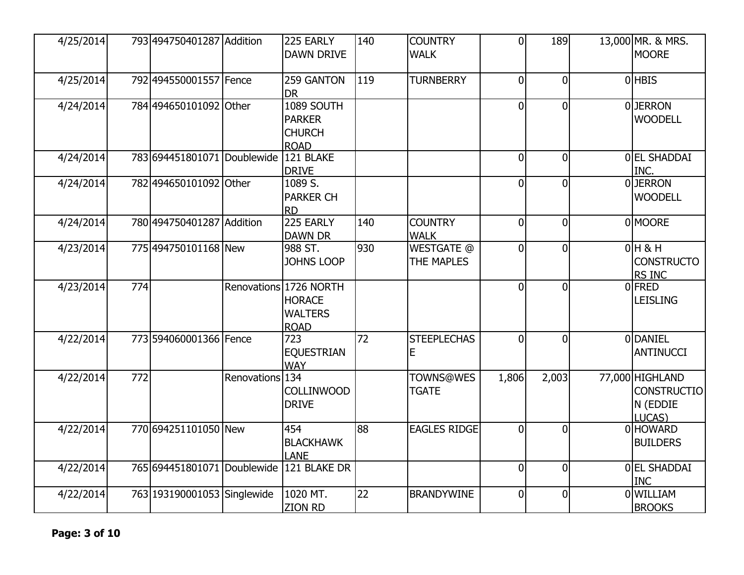| 4/25/2014 |     | 793 494750401287 Addition                |                 | 225 EARLY<br><b>DAWN DRIVE</b>                                           | 140 | <b>COUNTRY</b><br><b>WALK</b>    | $\Omega$       | 189            | 13,000 MR. & MRS.<br><b>MOORE</b>                           |
|-----------|-----|------------------------------------------|-----------------|--------------------------------------------------------------------------|-----|----------------------------------|----------------|----------------|-------------------------------------------------------------|
| 4/25/2014 |     | 792 494550001557 Fence                   |                 | 259 GANTON                                                               | 119 | <b>TURNBERRY</b>                 | $\overline{0}$ | $\Omega$       | OHBIS                                                       |
|           |     |                                          |                 | <b>DR</b>                                                                |     |                                  |                |                |                                                             |
| 4/24/2014 |     | 784 494650101092 Other                   |                 | 1089 SOUTH<br><b>PARKER</b><br><b>CHURCH</b><br><b>ROAD</b>              |     |                                  | $\Omega$       | 0              | <b>OJERRON</b><br><b>WOODELL</b>                            |
| 4/24/2014 |     | 783 694451801071 Doublewide              |                 | 121 BLAKE<br><b>DRIVE</b>                                                |     |                                  | $\overline{0}$ | $\overline{0}$ | 0 EL SHADDAI<br>INC.                                        |
| 4/24/2014 |     | 782 494650101092 Other                   |                 | 1089 S.<br><b>PARKER CH</b><br><b>RD</b>                                 |     |                                  | $\Omega$       | 0              | 0JERRON<br><b>WOODELL</b>                                   |
| 4/24/2014 |     | 780 494750401287 Addition                |                 | 225 EARLY<br><b>DAWN DR</b>                                              | 140 | <b>COUNTRY</b><br><b>WALK</b>    | $\overline{0}$ | $\overline{0}$ | 0MOORE                                                      |
| 4/23/2014 |     | 775 494750101168 New                     |                 | 988 ST.<br><b>JOHNS LOOP</b>                                             | 930 | <b>WESTGATE @</b><br>THE MAPLES  | $\overline{0}$ | $\overline{0}$ | $0H$ & H<br><b>CONSTRUCTO</b><br><b>RS INC</b>              |
| 4/23/2014 | 774 |                                          |                 | Renovations 1726 NORTH<br><b>HORACE</b><br><b>WALTERS</b><br><b>ROAD</b> |     |                                  | $\overline{0}$ | $\Omega$       | <b>OFRED</b><br><b>LEISLING</b>                             |
| 4/22/2014 |     | 773 594060001366 Fence                   |                 | 723<br><b>EQUESTRIAN</b><br><b>WAY</b>                                   | 72  | <b>STEEPLECHAS</b><br>E          | $\overline{0}$ | $\Omega$       | <b>ODANIEL</b><br>ANTINUCCI                                 |
| 4/22/2014 | 772 |                                          | Renovations 134 | <b>COLLINWOOD</b><br><b>DRIVE</b>                                        |     | <b>TOWNS@WES</b><br><b>TGATE</b> | 1,806          | 2,003          | 77,000 HIGHLAND<br><b>CONSTRUCTIO</b><br>N (EDDIE<br>LUCAS) |
| 4/22/2014 |     | 770694251101050 New                      |                 | 454<br><b>BLACKHAWK</b><br><b>LANE</b>                                   | 88  | <b>EAGLES RIDGE</b>              | $\Omega$       | $\Omega$       | 0HOWARD<br><b>BUILDERS</b>                                  |
| 4/22/2014 |     | 765 694451801071 Doublewide 121 BLAKE DR |                 |                                                                          |     |                                  | $\overline{0}$ | $\overline{0}$ | <b>OEL SHADDAI</b><br><b>INC</b>                            |
| 4/22/2014 |     | 763 193190001053 Singlewide              |                 | 1020 MT.<br><b>ZION RD</b>                                               | 22  | <b>BRANDYWINE</b>                | $\overline{0}$ | $\overline{0}$ | <b>OWILLIAM</b><br><b>BROOKS</b>                            |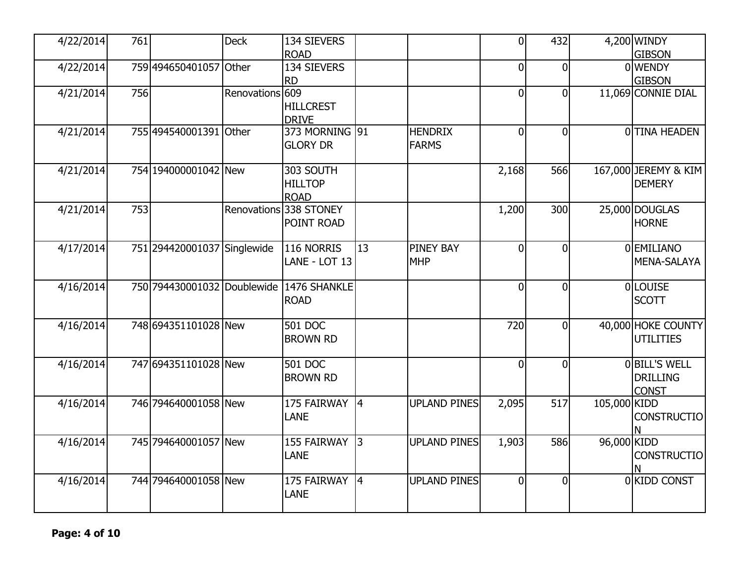| 4/22/2014 | 761 |                                          | <b>Deck</b>     | 134 SIEVERS                |           |                     | $\overline{0}$ | 432            |              | 4,200 WINDY             |
|-----------|-----|------------------------------------------|-----------------|----------------------------|-----------|---------------------|----------------|----------------|--------------|-------------------------|
| 4/22/2014 |     | 759 494650401057 Other                   |                 | <b>ROAD</b><br>134 SIEVERS |           |                     | $\mathbf 0$    | 0              |              | <b>GIBSON</b><br>0WENDY |
|           |     |                                          |                 | IRD                        |           |                     |                |                |              | <b>GIBSON</b>           |
| 4/21/2014 | 756 |                                          | Renovations 609 |                            |           |                     | $\mathbf 0$    | 0              |              | 11,069 CONNIE DIAL      |
|           |     |                                          |                 | <b>HILLCREST</b>           |           |                     |                |                |              |                         |
|           |     |                                          |                 | <b>DRIVE</b>               |           |                     |                |                |              |                         |
| 4/21/2014 |     | 755 494540001391 Other                   |                 | 373 MORNING 91             |           | <b>HENDRIX</b>      | $\mathbf 0$    | 0              |              | 0TINA HEADEN            |
|           |     |                                          |                 | <b>GLORY DR</b>            |           | <b>FARMS</b>        |                |                |              |                         |
|           |     |                                          |                 |                            |           |                     |                |                |              |                         |
| 4/21/2014 |     | 754 194000001042 New                     |                 | 303 SOUTH                  |           |                     | 2,168          | 566            |              | 167,000 JEREMY & KIM    |
|           |     |                                          |                 | <b>HILLTOP</b>             |           |                     |                |                |              | <b>DEMERY</b>           |
|           |     |                                          |                 | <b>ROAD</b>                |           |                     |                |                |              |                         |
| 4/21/2014 | 753 |                                          |                 | Renovations 338 STONEY     |           |                     | 1,200          | 300            |              | 25,000 DOUGLAS          |
|           |     |                                          |                 | POINT ROAD                 |           |                     |                |                |              | <b>HORNE</b>            |
|           |     |                                          |                 |                            |           |                     |                |                |              |                         |
| 4/17/2014 |     | 751 294420001037 Singlewide              |                 | 116 NORRIS                 | 13        | <b>PINEY BAY</b>    | $\overline{0}$ | $\overline{0}$ |              | 0EMILIANO               |
|           |     |                                          |                 | LANE - LOT 13              |           | <b>MHP</b>          |                |                |              | MENA-SALAYA             |
|           |     |                                          |                 |                            |           |                     |                |                |              |                         |
| 4/16/2014 |     | 750 794430001032 Doublewide 1476 SHANKLE |                 |                            |           |                     | $\overline{0}$ | $\overline{0}$ |              | <b>OLOUISE</b>          |
|           |     |                                          |                 | <b>ROAD</b>                |           |                     |                |                |              | <b>SCOTT</b>            |
| 4/16/2014 |     | 748 694351101028 New                     |                 | 501 DOC                    |           |                     | 720            | $\Omega$       |              | 40,000 HOKE COUNTY      |
|           |     |                                          |                 | <b>BROWN RD</b>            |           |                     |                |                |              | UTILITIES               |
|           |     |                                          |                 |                            |           |                     |                |                |              |                         |
| 4/16/2014 |     | 747 694351101028 New                     |                 | 501 DOC                    |           |                     | $\overline{0}$ | $\overline{0}$ |              | <b>OBILL'S WELL</b>     |
|           |     |                                          |                 | <b>BROWN RD</b>            |           |                     |                |                |              | <b>DRILLING</b>         |
|           |     |                                          |                 |                            |           |                     |                |                |              | <b>CONST</b>            |
| 4/16/2014 |     | 746 794640001058 New                     |                 | 175 FAIRWAY                | 4         | <b>UPLAND PINES</b> | 2,095          | 517            | 105,000 KIDD |                         |
|           |     |                                          |                 | <b>LANE</b>                |           |                     |                |                |              | <b>CONSTRUCTIO</b>      |
|           |     |                                          |                 |                            |           |                     |                |                |              | N                       |
| 4/16/2014 |     | 745 794640001057 New                     |                 | 155 FAIRWAY                | $\vert$ 3 | <b>UPLAND PINES</b> | 1,903          | 586            | 96,000 KIDD  |                         |
|           |     |                                          |                 | <b>LANE</b>                |           |                     |                |                |              | <b>CONSTRUCTIO</b>      |
|           |     |                                          |                 |                            |           |                     |                |                |              |                         |
| 4/16/2014 |     | 744 794640001058 New                     |                 | 175 FAIRWAY                | 4         | <b>UPLAND PINES</b> | $\mathbf 0$    | $\mathbf 0$    |              | 0 KIDD CONST            |
|           |     |                                          |                 | <b>LANE</b>                |           |                     |                |                |              |                         |
|           |     |                                          |                 |                            |           |                     |                |                |              |                         |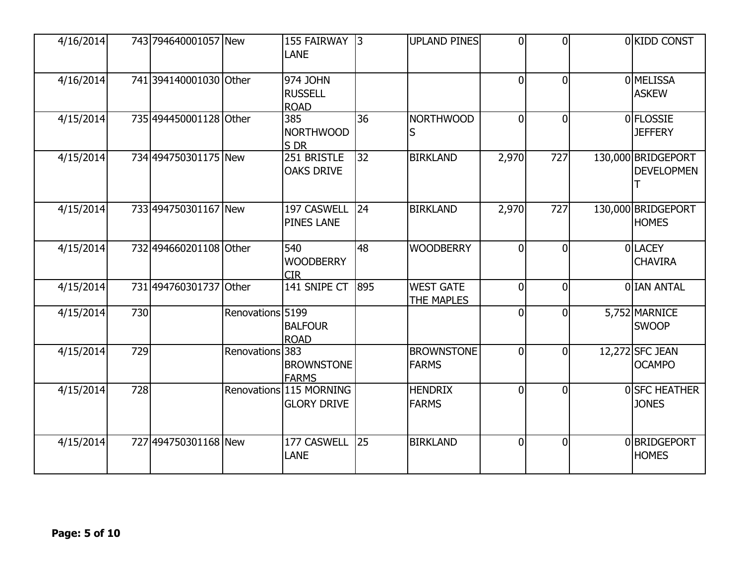| 4/16/2014 |     | 743 794640001057 New   |                  | 155 FAIRWAY 3<br><b>LANE</b>                  |              | <b>UPLAND PINES</b>               | $\Omega$       | $\Omega$       | 0KIDD CONST                             |
|-----------|-----|------------------------|------------------|-----------------------------------------------|--------------|-----------------------------------|----------------|----------------|-----------------------------------------|
| 4/16/2014 |     | 741 394140001030 Other |                  | 974 JOHN<br><b>RUSSELL</b><br><b>ROAD</b>     |              |                                   | $\Omega$       | $\overline{0}$ | 0 <b>MELISSA</b><br><b>ASKEW</b>        |
| 4/15/2014 |     | 735 494450001128 Other |                  | 385<br><b>NORTHWOOD</b><br>S DR               | 36           | <b>NORTHWOOD</b><br>S             | $\Omega$       | $\overline{0}$ | 0 FLOSSIE<br><b>JEFFERY</b>             |
| 4/15/2014 |     | 734 494750301175 New   |                  | 251 BRISTLE<br><b>OAKS DRIVE</b>              | 32           | <b>BIRKLAND</b>                   | 2,970          | 727            | 130,000 BRIDGEPORT<br><b>DEVELOPMEN</b> |
| 4/15/2014 |     | 733 494750301167 New   |                  | 197 CASWELL<br><b>PINES LANE</b>              | $ 24\rangle$ | <b>BIRKLAND</b>                   | 2,970          | 727            | 130,000 BRIDGEPORT<br><b>HOMES</b>      |
| 4/15/2014 |     | 732 494660201108 Other |                  | 540<br><b>WOODBERRY</b><br><b>CIR</b>         | 48           | <b>WOODBERRY</b>                  | $\Omega$       | $\Omega$       | <b>OLLACEY</b><br><b>CHAVIRA</b>        |
| 4/15/2014 |     | 731 494760301737 Other |                  | 141 SNIPE CT                                  | 895          | <b>WEST GATE</b><br>THE MAPLES    | $\Omega$       | $\Omega$       | O IAN ANTAL                             |
| 4/15/2014 | 730 |                        | Renovations 5199 | <b>BALFOUR</b><br><b>ROAD</b>                 |              |                                   | $\overline{0}$ | $\Omega$       | 5,752 MARNICE<br><b>SWOOP</b>           |
| 4/15/2014 | 729 |                        | Renovations 383  | <b>BROWNSTONE</b><br><b>FARMS</b>             |              | <b>BROWNSTONE</b><br><b>FARMS</b> | $\Omega$       | $\overline{0}$ | 12,272 SFC JEAN<br><b>OCAMPO</b>        |
| 4/15/2014 | 728 |                        |                  | Renovations 115 MORNING<br><b>GLORY DRIVE</b> |              | <b>HENDRIX</b><br><b>FARMS</b>    | $\Omega$       | $\overline{0}$ | OSFC HEATHER<br><b>JONES</b>            |
| 4/15/2014 |     | 727 494750301168 New   |                  | 177 CASWELL<br><b>LANE</b>                    | 25           | <b>BIRKLAND</b>                   | $\Omega$       | $\overline{0}$ | 0BRIDGEPORT<br><b>HOMES</b>             |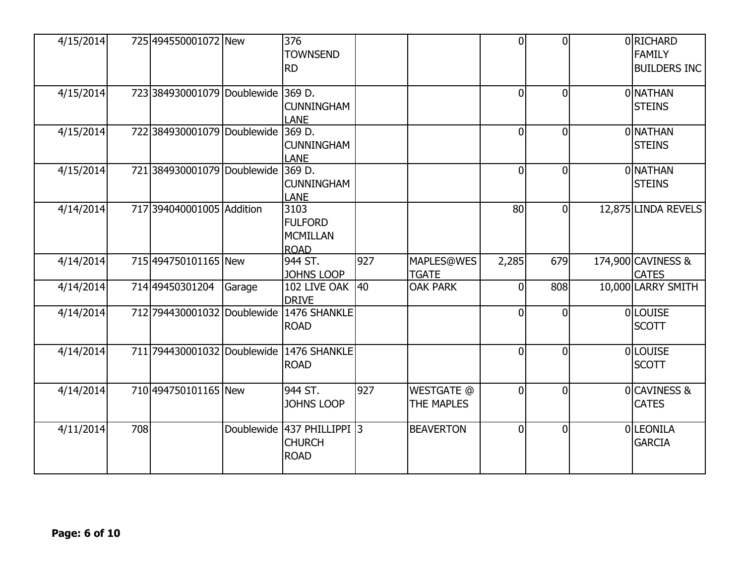| 4/15/2014 |     | 725 494550001072 New               |        | 376<br><b>TOWNSEND</b><br><b>RD</b>                        |     |                                 | $\overline{0}$  | $\overline{0}$ | 0RICHARD<br><b>FAMILY</b><br><b>BUILDERS INC</b> |
|-----------|-----|------------------------------------|--------|------------------------------------------------------------|-----|---------------------------------|-----------------|----------------|--------------------------------------------------|
| 4/15/2014 |     | 723 384930001079 Doublewide 369 D. |        | <b>CUNNINGHAM</b><br><b>LANE</b>                           |     |                                 | $\mathbf{0}$    | $\overline{0}$ | 0 NATHAN<br><b>STEINS</b>                        |
| 4/15/2014 |     | 722 384930001079 Doublewide        |        | 369 D.<br><b>CUNNINGHAM</b><br><b>LANE</b>                 |     |                                 | 0               | $\overline{0}$ | 0 NATHAN<br><b>STEINS</b>                        |
| 4/15/2014 |     | 721 384930001079 Doublewide        |        | 369 D.<br><b>CUNNINGHAM</b><br><b>LANE</b>                 |     |                                 | $\overline{0}$  | $\overline{0}$ | 0 NATHAN<br><b>STEINS</b>                        |
| 4/14/2014 |     | 717 394040001005 Addition          |        | 3103<br><b>FULFORD</b><br><b>MCMILLAN</b><br><b>ROAD</b>   |     |                                 | 80 <sup>1</sup> | $\overline{0}$ | 12,875 LINDA REVELS                              |
| 4/14/2014 |     | 715 494750101165 New               |        | 944 ST.<br>JOHNS LOOP                                      | 927 | MAPLES@WES<br><b>TGATE</b>      | 2,285           | 679            | 174,900 CAVINESS &<br><b>CATES</b>               |
| 4/14/2014 |     | 714 49450301204                    | Garage | 102 LIVE OAK 40<br><b>DRIVE</b>                            |     | <b>OAK PARK</b>                 | $\overline{0}$  | 808            | 10,000 LARRY SMITH                               |
| 4/14/2014 |     |                                    |        | 712 794430001032 Doublewide 1476 SHANKLE<br><b>ROAD</b>    |     |                                 | $\Omega$        | $\Omega$       | <b>OLOUISE</b><br><b>SCOTT</b>                   |
| 4/14/2014 |     |                                    |        | 711 794430001032 Doublewide 1476 SHANKLE<br><b>ROAD</b>    |     |                                 | $\Omega$        | $\overline{0}$ | <b>OLOUISE</b><br><b>SCOTT</b>                   |
| 4/14/2014 |     | 710 494750101165 New               |        | 944 ST.<br><b>JOHNS LOOP</b>                               | 927 | <b>WESTGATE @</b><br>THE MAPLES | $\overline{0}$  | $\overline{0}$ | 0CAVINESS &<br><b>CATES</b>                      |
| 4/11/2014 | 708 |                                    |        | Doublewide 437 PHILLIPPI 3<br><b>CHURCH</b><br><b>ROAD</b> |     | <b>BEAVERTON</b>                | $\overline{0}$  | $\overline{0}$ | OLEONILA<br><b>GARCIA</b>                        |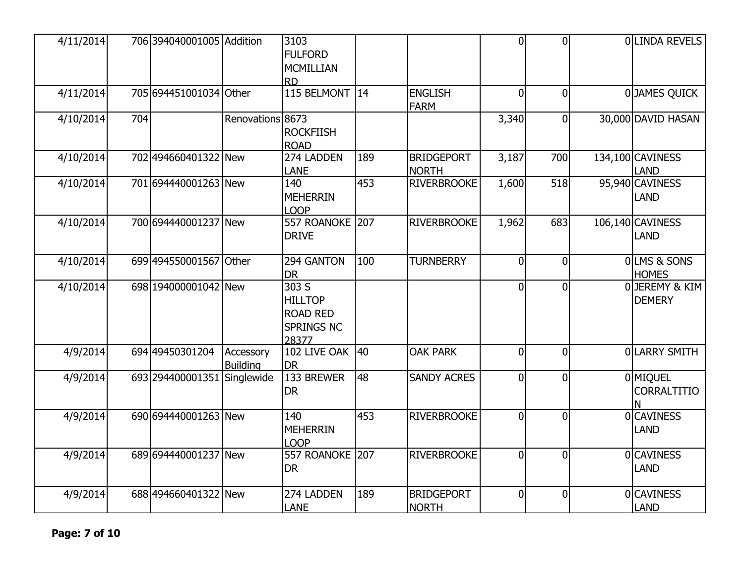| 4/11/2014 |     | 706 394040001005 Addition   |                  | 3103                  |              |                    | $\overline{0}$ | $\Omega$       | OLINDA REVELS      |
|-----------|-----|-----------------------------|------------------|-----------------------|--------------|--------------------|----------------|----------------|--------------------|
|           |     |                             |                  | <b>FULFORD</b>        |              |                    |                |                |                    |
|           |     |                             |                  | MCMILLIAN             |              |                    |                |                |                    |
|           |     |                             |                  | <b>RD</b>             |              |                    |                |                |                    |
| 4/11/2014 |     | 705 694451001034 Other      |                  | 115 BELMONT 14        |              | <b>ENGLISH</b>     | $\overline{0}$ | $\overline{0}$ | 0JAMES QUICK       |
|           |     |                             |                  |                       |              | <b>FARM</b>        |                |                |                    |
| 4/10/2014 | 704 |                             | Renovations 8673 |                       |              |                    | 3,340          | $\overline{0}$ | 30,000 DAVID HASAN |
|           |     |                             |                  |                       |              |                    |                |                |                    |
|           |     |                             |                  | <b>ROCKFIISH</b>      |              |                    |                |                |                    |
|           |     |                             |                  | <b>ROAD</b>           |              |                    |                |                |                    |
| 4/10/2014 |     | 702 494660401322 New        |                  | 274 LADDEN            | 189          | <b>BRIDGEPORT</b>  | 3,187          | 700            | 134,100 CAVINESS   |
|           |     |                             |                  | <b>LANE</b>           |              | <b>NORTH</b>       |                |                | LAND               |
| 4/10/2014 |     | 701694440001263 New         |                  | 140                   | 453          | <b>RIVERBROOKE</b> | 1,600          | 518            | 95,940 CAVINESS    |
|           |     |                             |                  | <b>MEHERRIN</b>       |              |                    |                |                | LAND               |
|           |     |                             |                  | <b>LOOP</b>           |              |                    |                |                |                    |
| 4/10/2014 |     | 700 694440001237 New        |                  | 557 ROANOKE 207       |              | <b>RIVERBROOKE</b> | 1,962          | 683            | 106,140 CAVINESS   |
|           |     |                             |                  | <b>DRIVE</b>          |              |                    |                |                | LAND               |
|           |     |                             |                  |                       |              |                    |                |                |                    |
| 4/10/2014 |     | 699 494550001567 Other      |                  | 294 GANTON            | 100          | <b>TURNBERRY</b>   | $\overline{0}$ | $\overline{0}$ | 0LMS & SONS        |
|           |     |                             |                  | <b>DR</b>             |              |                    |                |                | <b>HOMES</b>       |
| 4/10/2014 |     | 698 194000001042 New        |                  | $\overline{303S}$     |              |                    | $\overline{0}$ | $\overline{0}$ | OJEREMY & KIM      |
|           |     |                             |                  | <b>HILLTOP</b>        |              |                    |                |                | <b>DEMERY</b>      |
|           |     |                             |                  | <b>ROAD RED</b>       |              |                    |                |                |                    |
|           |     |                             |                  |                       |              |                    |                |                |                    |
|           |     |                             |                  | <b>SPRINGS NC</b>     |              |                    |                |                |                    |
|           |     | 694 49450301204             |                  | 28377<br>102 LIVE OAK | $ 40\rangle$ | <b>OAK PARK</b>    |                |                |                    |
| 4/9/2014  |     |                             | Accessory        |                       |              |                    | $\overline{0}$ | $\overline{0}$ | 0LARRY SMITH       |
|           |     |                             | <b>Building</b>  | <b>DR</b>             |              |                    |                |                |                    |
| 4/9/2014  |     | 693 294400001351 Singlewide |                  | 133 BREWER            | 48           | <b>SANDY ACRES</b> | $\overline{0}$ | 0              | 0 MIQUEL           |
|           |     |                             |                  | <b>DR</b>             |              |                    |                |                | <b>CORRALTITIO</b> |
|           |     |                             |                  |                       |              |                    |                |                |                    |
| 4/9/2014  |     | 690 694440001263 New        |                  | 140                   | 453          | <b>RIVERBROOKE</b> | $\overline{0}$ | $\overline{0}$ | <b>OCAVINESS</b>   |
|           |     |                             |                  | <b>MEHERRIN</b>       |              |                    |                |                | <b>LAND</b>        |
|           |     |                             |                  | <b>LOOP</b>           |              |                    |                |                |                    |
| 4/9/2014  |     | 689 694440001237 New        |                  | 557 ROANOKE 207       |              | <b>RIVERBROOKE</b> | $\overline{0}$ | $\overline{0}$ | 0CAVINESS          |
|           |     |                             |                  | <b>DR</b>             |              |                    |                |                | <b>LAND</b>        |
|           |     |                             |                  |                       |              |                    |                |                |                    |
| 4/9/2014  |     | 688 494660401322 New        |                  | 274 LADDEN            | 189          | <b>BRIDGEPORT</b>  | $\overline{0}$ | $\overline{0}$ | <b>OCAVINESS</b>   |
|           |     |                             |                  | LANE                  |              | <b>NORTH</b>       |                |                | <b>LAND</b>        |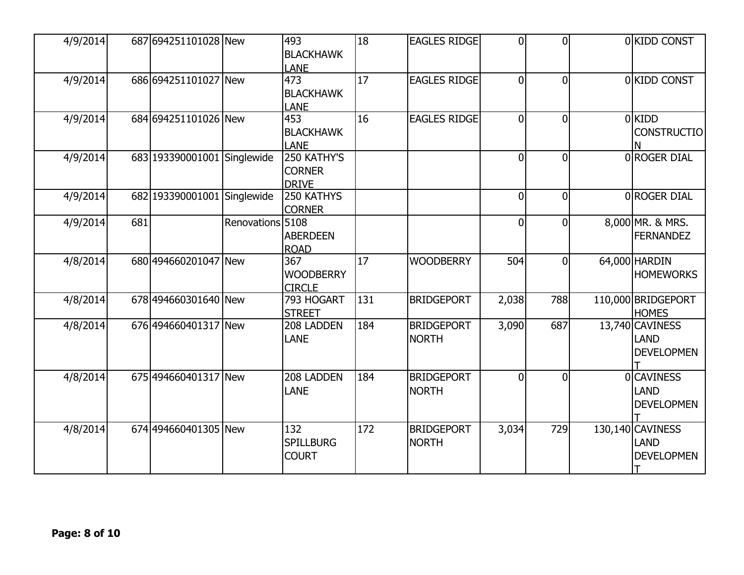| 4/9/2014 |     | 687 694251101028 New        |                  | 493<br><b>BLACKHAWK</b><br><b>LANE</b>       | 18              | <b>EAGLES RIDGE</b>               | $\overline{0}$ | $\Omega$       | 0KIDD CONST                                           |
|----------|-----|-----------------------------|------------------|----------------------------------------------|-----------------|-----------------------------------|----------------|----------------|-------------------------------------------------------|
| 4/9/2014 |     | 686 694251101027 New        |                  | 473<br><b>BLACKHAWK</b><br><b>LANE</b>       | $\overline{17}$ | <b>EAGLES RIDGE</b>               | $\overline{0}$ | $\overline{0}$ | 0 KIDD CONST                                          |
| 4/9/2014 |     | 684 694251101026 New        |                  | 453<br><b>BLACKHAWK</b><br><b>LANE</b>       | 16              | <b>EAGLES RIDGE</b>               | $\Omega$       | $\overline{0}$ | OKIDD<br><b>CONSTRUCTIO</b>                           |
| 4/9/2014 |     | 683 193390001001 Singlewide |                  | 250 KATHY'S<br><b>CORNER</b><br><b>DRIVE</b> |                 |                                   | $\overline{0}$ | $\overline{0}$ | 0 ROGER DIAL                                          |
| 4/9/2014 |     | 682 193390001001 Singlewide |                  | 250 KATHYS<br><b>CORNER</b>                  |                 |                                   | $\overline{0}$ | $\overline{0}$ | 0 ROGER DIAL                                          |
| 4/9/2014 | 681 |                             | Renovations 5108 | <b>ABERDEEN</b><br><b>ROAD</b>               |                 |                                   | $\overline{0}$ | $\overline{0}$ | 8,000 MR. & MRS.<br><b>FERNANDEZ</b>                  |
| 4/8/2014 |     | 680 494660201047 New        |                  | 367<br><b>WOODBERRY</b><br><b>CIRCLE</b>     | <b>17</b>       | <b>WOODBERRY</b>                  | 504            | $\overline{0}$ | 64,000 HARDIN<br><b>HOMEWORKS</b>                     |
| 4/8/2014 |     | 678 494660301640 New        |                  | 793 HOGART<br><b>STREET</b>                  | 131             | <b>BRIDGEPORT</b>                 | 2,038          | 788            | 110,000 BRIDGEPORT<br><b>HOMES</b>                    |
| 4/8/2014 |     | 676 494660401317 New        |                  | 208 LADDEN<br><b>LANE</b>                    | 184             | <b>BRIDGEPORT</b><br><b>NORTH</b> | 3,090          | 687            | 13,740 CAVINESS<br><b>LAND</b><br><b>DEVELOPMEN</b>   |
| 4/8/2014 |     | 675 494660401317 New        |                  | 208 LADDEN<br><b>LANE</b>                    | 184             | <b>BRIDGEPORT</b><br><b>NORTH</b> | $\overline{0}$ | $\Omega$       | <b>OICAVINESS</b><br><b>LAND</b><br><b>DEVELOPMEN</b> |
| 4/8/2014 |     | 674 494660401305 New        |                  | 132<br><b>SPILLBURG</b><br><b>COURT</b>      | 172             | <b>BRIDGEPORT</b><br><b>NORTH</b> | 3,034          | 729            | 130,140 CAVINESS<br><b>LAND</b><br><b>DEVELOPMEN</b>  |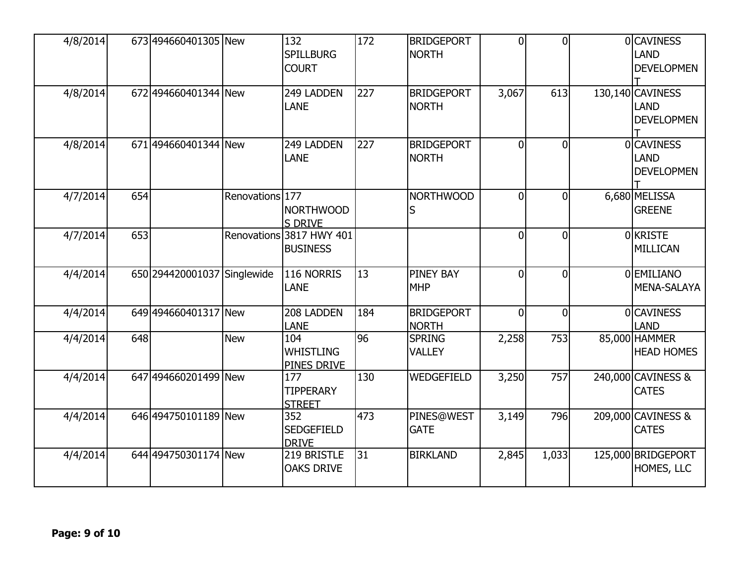| 4/8/2014 |     | 673 494660401305 New        |                 | 132<br><b>SPILLBURG</b><br><b>COURT</b>     | 172 | <b>BRIDGEPORT</b><br><b>NORTH</b> | $\overline{0}$ | $\overline{0}$ | <b>OCAVINESS</b><br><b>LAND</b><br><b>DEVELOPMEN</b> |
|----------|-----|-----------------------------|-----------------|---------------------------------------------|-----|-----------------------------------|----------------|----------------|------------------------------------------------------|
| 4/8/2014 |     | 672 494660401344 New        |                 | 249 LADDEN<br><b>LANE</b>                   | 227 | <b>BRIDGEPORT</b><br><b>NORTH</b> | 3,067          | 613            | 130,140 CAVINESS<br><b>LAND</b><br><b>DEVELOPMEN</b> |
| 4/8/2014 |     | 671 494660401344 New        |                 | 249 LADDEN<br><b>LANE</b>                   | 227 | <b>BRIDGEPORT</b><br><b>NORTH</b> | $\overline{0}$ | $\overline{0}$ | <b>OCAVINESS</b><br><b>LAND</b><br><b>DEVELOPMEN</b> |
| 4/7/2014 | 654 |                             | Renovations 177 | <b>NORTHWOOD</b><br><b>S DRIVE</b>          |     | <b>NORTHWOOD</b><br>S             | $\overline{0}$ | $\Omega$       | 6,680 MELISSA<br><b>GREENE</b>                       |
| 4/7/2014 | 653 |                             |                 | Renovations 3817 HWY 401<br><b>BUSINESS</b> |     |                                   | $\Omega$       | $\Omega$       | <b>OKRISTE</b><br>MILLICAN                           |
| 4/4/2014 |     | 650 294420001037 Singlewide |                 | 116 NORRIS<br><b>LANE</b>                   | 13  | <b>PINEY BAY</b><br><b>MHP</b>    | $\overline{0}$ | $\overline{0}$ | <b>OEMILIANO</b><br>MENA-SALAYA                      |
| 4/4/2014 |     | 649 494660401317 New        |                 | 208 LADDEN<br><b>LANE</b>                   | 184 | <b>BRIDGEPORT</b><br><b>NORTH</b> | $\overline{0}$ | $\overline{0}$ | <b>OCAVINESS</b><br><b>LAND</b>                      |
| 4/4/2014 | 648 |                             | <b>New</b>      | 104<br>WHISTLING<br><b>PINES DRIVE</b>      | 96  | <b>SPRING</b><br><b>VALLEY</b>    | 2,258          | 753            | 85,000 HAMMER<br><b>HEAD HOMES</b>                   |
| 4/4/2014 |     | 647 494660201499 New        |                 | 177<br><b>TIPPERARY</b><br><b>STREET</b>    | 130 | WEDGEFIELD                        | 3,250          | 757            | 240,000 CAVINESS &<br><b>CATES</b>                   |
| 4/4/2014 |     | 646 494750101189 New        |                 | 352<br><b>SEDGEFIELD</b><br><b>DRIVE</b>    | 473 | <b>PINES@WEST</b><br><b>GATE</b>  | 3,149          | 796            | 209,000 CAVINESS &<br><b>CATES</b>                   |
| 4/4/2014 |     | 644 494750301174 New        |                 | 219 BRISTLE<br><b>OAKS DRIVE</b>            | 31  | <b>BIRKLAND</b>                   | 2,845          | 1,033          | 125,000 BRIDGEPORT<br>HOMES, LLC                     |